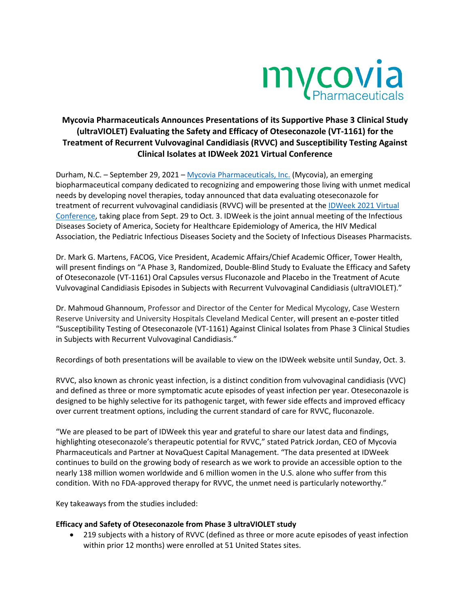

# **Mycovia Pharmaceuticals Announces Presentations of its Supportive Phase 3 Clinical Study (ultraVIOLET) Evaluating the Safety and Efficacy of Oteseconazole (VT-1161) for the Treatment of Recurrent Vulvovaginal Candidiasis (RVVC) and Susceptibility Testing Against Clinical Isolates at IDWeek 2021 Virtual Conference**

Durham, N.C. – September 29, 2021 – Mycovia Pharmaceuticals, Inc. (Mycovia), an emerging biopharmaceutical company dedicated to recognizing and empowering those living with unmet medical needs by developing novel therapies, today announced that data evaluating oteseconazole for treatment of recurrent vulvovaginal candidiasis (RVVC) will be presented at the IDWeek 2021 Virtual Conference, taking place from Sept. 29 to Oct. 3. IDWeek is the joint annual meeting of the Infectious Diseases Society of America, Society for Healthcare Epidemiology of America, the HIV Medical Association, the Pediatric Infectious Diseases Society and the Society of Infectious Diseases Pharmacists.

Dr. Mark G. Martens, FACOG, Vice President, Academic Affairs/Chief Academic Officer, Tower Health, will present findings on "A Phase 3, Randomized, Double-Blind Study to Evaluate the Efficacy and Safety of Oteseconazole (VT-1161) Oral Capsules versus Fluconazole and Placebo in the Treatment of Acute Vulvovaginal Candidiasis Episodes in Subjects with Recurrent Vulvovaginal Candidiasis (ultraVIOLET)."

Dr. Mahmoud Ghannoum, Professor and Director of the Center for Medical Mycology, Case Western Reserve University and University Hospitals Cleveland Medical Center, will present an e-poster titled "Susceptibility Testing of Oteseconazole (VT-1161) Against Clinical Isolates from Phase 3 Clinical Studies in Subjects with Recurrent Vulvovaginal Candidiasis."

Recordings of both presentations will be available to view on the IDWeek website until Sunday, Oct. 3.

RVVC, also known as chronic yeast infection, is a distinct condition from vulvovaginal candidiasis (VVC) and defined as three or more symptomatic acute episodes of yeast infection per year. Oteseconazole is designed to be highly selective for its pathogenic target, with fewer side effects and improved efficacy over current treatment options, including the current standard of care for RVVC, fluconazole.

"We are pleased to be part of IDWeek this year and grateful to share our latest data and findings, highlighting oteseconazole's therapeutic potential for RVVC," stated Patrick Jordan, CEO of Mycovia Pharmaceuticals and Partner at NovaQuest Capital Management. "The data presented at IDWeek continues to build on the growing body of research as we work to provide an accessible option to the nearly 138 million women worldwide and 6 million women in the U.S. alone who suffer from this condition. With no FDA-approved therapy for RVVC, the unmet need is particularly noteworthy."

Key takeaways from the studies included:

### **Efficacy and Safety of Oteseconazole from Phase 3 ultraVIOLET study**

• 219 subjects with a history of RVVC (defined as three or more acute episodes of yeast infection within prior 12 months) were enrolled at 51 United States sites.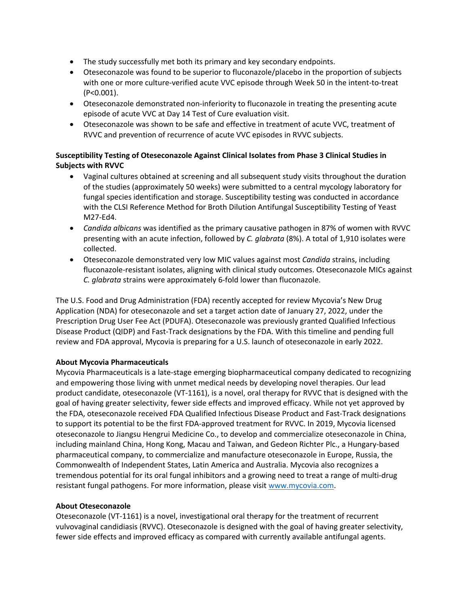- The study successfully met both its primary and key secondary endpoints.
- Oteseconazole was found to be superior to fluconazole/placebo in the proportion of subjects with one or more culture-verified acute VVC episode through Week 50 in the intent-to-treat (P<0.001).
- Oteseconazole demonstrated non-inferiority to fluconazole in treating the presenting acute episode of acute VVC at Day 14 Test of Cure evaluation visit.
- Oteseconazole was shown to be safe and effective in treatment of acute VVC, treatment of RVVC and prevention of recurrence of acute VVC episodes in RVVC subjects.

## **Susceptibility Testing of Oteseconazole Against Clinical Isolates from Phase 3 Clinical Studies in Subjects with RVVC**

- Vaginal cultures obtained at screening and all subsequent study visits throughout the duration of the studies (approximately 50 weeks) were submitted to a central mycology laboratory for fungal species identification and storage. Susceptibility testing was conducted in accordance with the CLSI Reference Method for Broth Dilution Antifungal Susceptibility Testing of Yeast M27-Ed4.
- *Candida albicans* was identified as the primary causative pathogen in 87% of women with RVVC presenting with an acute infection, followed by *C. glabrata* (8%). A total of 1,910 isolates were collected.
- Oteseconazole demonstrated very low MIC values against most *Candida* strains, including fluconazole-resistant isolates, aligning with clinical study outcomes. Oteseconazole MICs against *C. glabrata* strains were approximately 6-fold lower than fluconazole.

The U.S. Food and Drug Administration (FDA) recently accepted for review Mycovia's New Drug Application (NDA) for oteseconazole and set a target action date of January 27, 2022, under the Prescription Drug User Fee Act (PDUFA). Oteseconazole was previously granted Qualified Infectious Disease Product (QIDP) and Fast-Track designations by the FDA. With this timeline and pending full review and FDA approval, Mycovia is preparing for a U.S. launch of oteseconazole in early 2022.

### **About Mycovia Pharmaceuticals**

Mycovia Pharmaceuticals is a late-stage emerging biopharmaceutical company dedicated to recognizing and empowering those living with unmet medical needs by developing novel therapies. Our lead product candidate, oteseconazole (VT-1161), is a novel, oral therapy for RVVC that is designed with the goal of having greater selectivity, fewer side effects and improved efficacy. While not yet approved by the FDA, oteseconazole received FDA Qualified Infectious Disease Product and Fast-Track designations to support its potential to be the first FDA-approved treatment for RVVC. In 2019, Mycovia licensed oteseconazole to Jiangsu Hengrui Medicine Co., to develop and commercialize oteseconazole in China, including mainland China, Hong Kong, Macau and Taiwan, and Gedeon Richter Plc., a Hungary-based pharmaceutical company, to commercialize and manufacture oteseconazole in Europe, Russia, the Commonwealth of Independent States, Latin America and Australia. Mycovia also recognizes a tremendous potential for its oral fungal inhibitors and a growing need to treat a range of multi-drug resistant fungal pathogens. For more information, please visit www.mycovia.com.

### **About Oteseconazole**

Oteseconazole (VT-1161) is a novel, investigational oral therapy for the treatment of recurrent vulvovaginal candidiasis (RVVC). Oteseconazole is designed with the goal of having greater selectivity, fewer side effects and improved efficacy as compared with currently available antifungal agents.